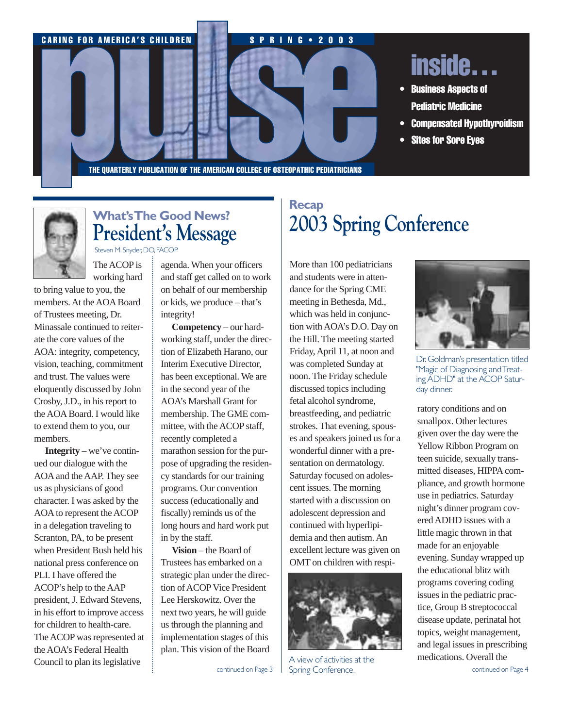



## **What's The Good News? President's Message** Steven M.Snyder,DO,FACOP

The ACOP is

working hard

to bring value to you, the members. At the AOA Board of Trustees meeting, Dr. Minassale continued to reiterate the core values of the AOA: integrity, competency, vision, teaching, commitment and trust. The values were eloquently discussed by John Crosby, J.D., in his report to the AOA Board. I would like to extend them to you, our members.

**Integrity** – we've continued our dialogue with the AOA and the AAP. They see us as physicians of good character. I was asked by the AOA to represent the ACOP in a delegation traveling to Scranton, PA, to be present when President Bush held his national press conference on PLI. I have offered the ACOP's help to the AAP president, J. Edward Stevens, in his effort to improve access for children to health-care. The ACOP was represented at the AOA's Federal Health Council to plan its legislative

agenda. When your officers and staff get called on to work on behalf of our membership or kids, we produce – that's integrity!

**Competency** – our hardworking staff, under the direction of Elizabeth Harano, our Interim Executive Director, has been exceptional. We are in the second year of the AOA's Marshall Grant for membership. The GME committee, with the ACOP staff, recently completed a marathon session for the purpose of upgrading the residency standards for our training programs. Our convention success (educationally and fiscally) reminds us of the long hours and hard work put in by the staff.

**Vision** – the Board of Trustees has embarked on a strategic plan under the direction of ACOP Vice President Lee Herskowitz. Over the next two years, he will guide us through the planning and implementation stages of this plan. This vision of the Board

# **Recap 2003 Spring Conference**

More than 100 pediatricians and students were in attendance for the Spring CME meeting in Bethesda, Md., which was held in conjunction with AOA's D.O. Day on the Hill. The meeting started Friday, April 11, at noon and was completed Sunday at noon. The Friday schedule discussed topics including fetal alcohol syndrome, breastfeeding, and pediatric strokes. That evening, spouses and speakers joined us for a wonderful dinner with a presentation on dermatology. Saturday focused on adolescent issues. The morning started with a discussion on adolescent depression and continued with hyperlipidemia and then autism. An excellent lecture was given on OMT on children with respi-



continued on Page 3  $\parallel$  Spring Conference.  $\parallel$  continued on Page 4 A view of activities at the



Dr.Goldman's presentation titled "Magic of Diagnosing and Treating ADHD" at the ACOP Saturday dinner.

ratory conditions and on smallpox. Other lectures given over the day were the Yellow Ribbon Program on teen suicide, sexually transmitted diseases, HIPPA compliance, and growth hormone use in pediatrics. Saturday night's dinner program covered ADHD issues with a little magic thrown in that made for an enjoyable evening. Sunday wrapped up the educational blitz with programs covering coding issues in the pediatric practice, Group B streptococcal disease update, perinatal hot topics, weight management, and legal issues in prescribing medications. Overall the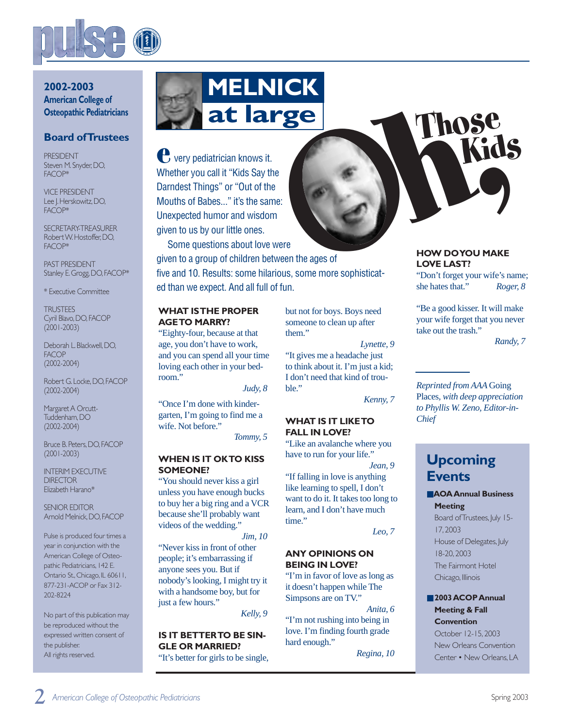

### **2002-2003 American College of Osteopathic Pediatricians**

### **Board of Trustees**

PRESIDENT Steven M. Snyder, DO, FACOP\*

VICE PRESIDENT Lee J. Herskowitz, DO, FACOP\*

SECRETARY-TREASURER Robert W.Hostoffer,DO, FACOP\*

PAST PRESIDENT Stanley E. Grogg, DO, FACOP\*

\* Executive Committee

**TRI ISTEES** Cyril Blavo,DO,FACOP (2001-2003)

Deborah L. Blackwell, DO, **FACOP** (2002-2004)

Robert G.Locke,DO,FACOP (2002-2004)

Margaret A Orcutt-Tuddenham,DO (2002-2004)

Bruce B.Peters,DO,FACOP (2001-2003)

INTERIM EXECUTIVE **DIRECTOR** Elizabeth Harano\*

SENIOR EDITOR Arnold Melnick,DO,FACOP

Pulse is produced four times a year in conjunction with the American College of Osteopathic Pediatricians,142 E. Ontario St., Chicago, IL 60611, 877-231-ACOP or Fax 312- 202-8224

No part of this publication may be reproduced without the expressed written consent of the publisher. All rights reserved.



very pediatrician knows it. Whether you call it "Kids Say the Darndest Things" or "Out of the Mouths of Babes..." it's the same: Unexpected humor and wisdom given to us by our little ones. **e**

Some questions about love were

given to a group of children between the ages of five and 10. Results: some hilarious, some more sophisticated than we expect. And all full of fun.

#### **WHAT IS THE PROPER AGE TO MARRY?**

"Eighty-four, because at that age, you don't have to work, and you can spend all your time loving each other in your bedroom."

*Judy, 8*

"Once I'm done with kindergarten, I'm going to find me a wife. Not before."

*Tommy, 5*

#### **WHEN IS IT OK TO KISS SOMEONE?**

"You should never kiss a girl unless you have enough bucks to buy her a big ring and a VCR because she'll probably want videos of the wedding."

*Jim, 10* "Never kiss in front of other people; it's embarrassing if anyone sees you. But if nobody's looking, I might try it with a handsome boy, but for just a few hours."

*Kelly, 9*

## **IS IT BETTER TO BE SIN-GLE OR MARRIED?**

"It's better for girls to be single,

but not for boys. Boys need someone to clean up after them."

*Lynette, 9* "It gives me a headache just to think about it. I'm just a kid; I don't need that kind of trouble."

*Kenny, 7*

#### **WHAT IS IT LIKE TO FALL IN LOVE?**

"Like an avalanche where you have to run for your life."

*Jean, 9* "If falling in love is anything like learning to spell, I don't want to do it. It takes too long to learn, and I don't have much time."

*Leo, 7*

### **ANY OPINIONS ON BEING IN LOVE?**

"I'm in favor of love as long as it doesn't happen while The Simpsons are on TV."

*Anita, 6* "I'm not rushing into being in love. I'm finding fourth grade hard enough."

*Regina, 10*

## **HOW DO YOU MAKE LOVE LAST?**

**Those Kids**

"Don't forget your wife's name; she hates that." *Roger, 8*

"Be a good kisser. It will make your wife forget that you never take out the trash."

*Randy, 7*

*Reprinted from AAA* Going Places*, with deep appreciation to Phyllis W. Zeno, Editor-in-Chief*

# **Upcoming Events**

#### ■**AOA Annual Business Meeting**

Board of Trustees, July 15-17,2003 House of Delegates, July 18-20,2003 The Fairmont Hotel Chicago, Illinois

#### ■ **2003 ACOP Annual Meeting & Fall**

**Convention** October 12-15,2003

New Orleans Convention Center • New Orleans,LA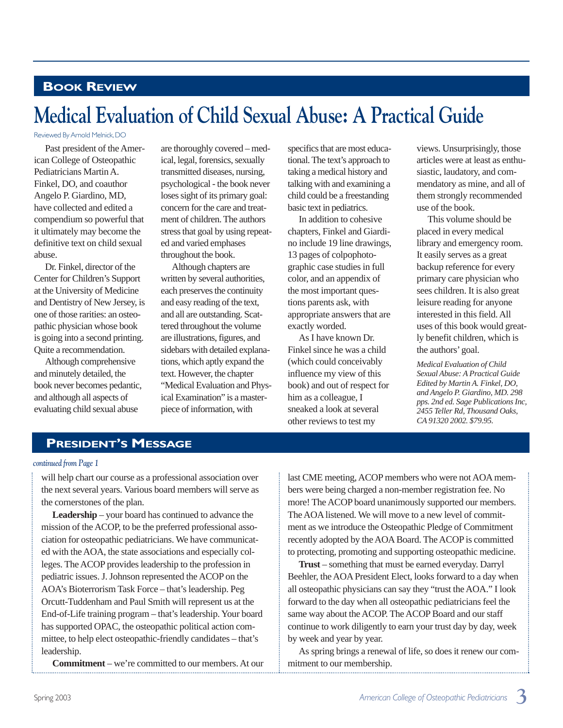# **BOOK REVIEW**

# **Medical Evaluation of Child Sexual Abuse: A Practical Guide**

#### Reviewed By Arnold Melnick,DO

Past president of the American College of Osteopathic Pediatricians Martin A. Finkel, DO, and coauthor Angelo P. Giardino, MD, have collected and edited a compendium so powerful that it ultimately may become the definitive text on child sexual abuse.

Dr. Finkel, director of the Center for Children's Support at the University of Medicine and Dentistry of New Jersey, is one of those rarities: an osteopathic physician whose book is going into a second printing. Quite a recommendation.

Although comprehensive and minutely detailed, the book never becomes pedantic, and although all aspects of evaluating child sexual abuse

are thoroughly covered – medical, legal, forensics, sexually transmitted diseases, nursing, psychological - the book never loses sight of its primary goal: concern for the care and treatment of children. The authors stress that goal by using repeated and varied emphases throughout the book.

Although chapters are written by several authorities, each preserves the continuity and easy reading of the text, and all are outstanding. Scattered throughout the volume are illustrations, figures, and sidebars with detailed explanations, which aptly expand the text. However, the chapter "Medical Evaluation and Physical Examination" is a masterpiece of information, with

specifics that are most educational. The text's approach to taking a medical history and talking with and examining a child could be a freestanding basic text in pediatrics.

In addition to cohesive chapters, Finkel and Giardino include 19 line drawings, 13 pages of colpophotographic case studies in full color, and an appendix of the most important questions parents ask, with appropriate answers that are exactly worded.

As I have known Dr. Finkel since he was a child (which could conceivably influence my view of this book) and out of respect for him as a colleague, I sneaked a look at several other reviews to test my

views. Unsurprisingly, those articles were at least as enthusiastic, laudatory, and commendatory as mine, and all of them strongly recommended use of the book.

This volume should be placed in every medical library and emergency room. It easily serves as a great backup reference for every primary care physician who sees children. It is also great leisure reading for anyone interested in this field. All uses of this book would greatly benefit children, which is the authors'goal.

*Medical Evaluation of Child Sexual Abuse: A Practical Guide Edited by Martin A. Finkel, DO, and Angelo P. Giardino, MD. 298 pps. 2nd ed. Sage Publications Inc, 2455 Teller Rd, Thousand Oaks, CA 91320 2002. \$79.95.*

## **PRESIDENT'S MESSAGE**

#### *continued from Page 1*

will help chart our course as a professional association over the next several years. Various board members will serve as the cornerstones of the plan.

**Leadership** – your board has continued to advance the mission of the ACOP, to be the preferred professional association for osteopathic pediatricians. We have communicated with the AOA, the state associations and especially colleges. The ACOP provides leadership to the profession in pediatric issues. J. Johnson represented the ACOP on the AOA's Bioterrorism Task Force – that's leadership. Peg Orcutt-Tuddenham and Paul Smith will represent us at the End-of-Life training program – that's leadership. Your board has supported OPAC, the osteopathic political action committee, to help elect osteopathic-friendly candidates – that's leadership.

**Commitment** – we're committed to our members. At our

last CME meeting, ACOP members who were not AOA members were being charged a non-member registration fee. No more! The ACOP board unanimously supported our members. The AOA listened. We will move to a new level of commitment as we introduce the Osteopathic Pledge of Commitment recently adopted by the AOA Board. The ACOP is committed to protecting, promoting and supporting osteopathic medicine.

**Trust** – something that must be earned everyday. Darryl Beehler, the AOA President Elect, looks forward to a day when all osteopathic physicians can say they "trust the AOA." I look forward to the day when all osteopathic pediatricians feel the same way about the ACOP. The ACOP Board and our staff continue to work diligently to earn your trust day by day, week by week and year by year.

As spring brings a renewal of life, so does it renew our commitment to our membership.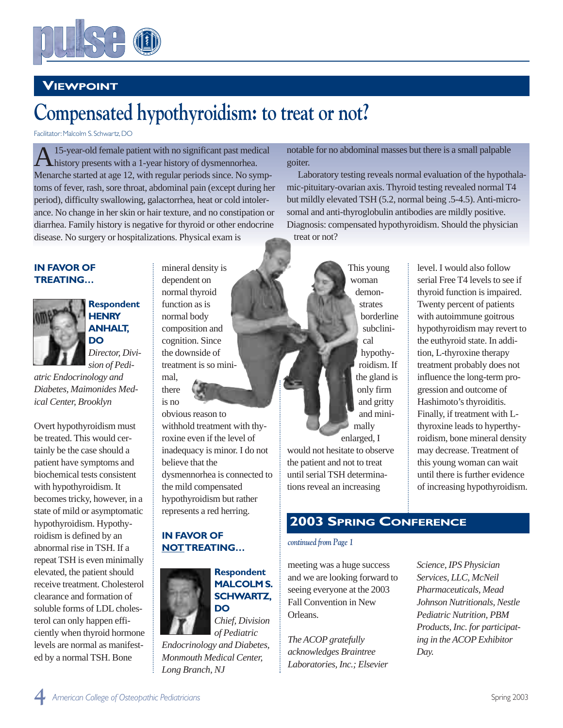

# **VIEWPOINT**

# **Compensated hypothyroidism: to treat or not?**

Facilitator: Malcolm S. Schwartz, DO

A15-year-old female patient with no significant past medical history presents with a 1-year history of dysmennorhea. Menarche started at age 12, with regular periods since. No symptoms of fever, rash, sore throat, abdominal pain (except during her period), difficulty swallowing, galactorrhea, heat or cold intolerance. No change in her skin or hair texture, and no constipation or diarrhea. Family history is negative for thyroid or other endocrine disease. No surgery or hospitalizations. Physical exam is

#### **IN FAVOR OF TREATING…**



**Respondent HENRY ANHALT, DO**

*Director, Division of Pedi-*

*atric Endocrinology and Diabetes, Maimonides Medical Center, Brooklyn*

Overt hypothyroidism must be treated. This would certainly be the case should a patient have symptoms and biochemical tests consistent with hypothyroidism. It becomes tricky, however, in a state of mild or asymptomatic hypothyroidism. Hypothyroidism is defined by an abnormal rise in TSH. If a repeat TSH is even minimally elevated, the patient should receive treatment. Cholesterol clearance and formation of soluble forms of LDL cholesterol can only happen efficiently when thyroid hormone levels are normal as manifested by a normal TSH. Bone

mineral density is dependent on normal thyroid function as is normal body composition and cognition. Since the downside of treatment is so minimal,

there

is no obvious reason to withhold treatment with thyroxine even if the level of inadequacy is minor. I do not believe that the dysmennorhea is connected to the mild compensated hypothyroidism but rather represents a red herring.

### **IN FAVOR OF NOTTREATING…**



*of Pediatric Endocrinology and Diabetes, Monmouth Medical Center, Long Branch, NJ*

notable for no abdominal masses but there is a small palpable goiter.

Laboratory testing reveals normal evaluation of the hypothalamic-pituitary-ovarian axis. Thyroid testing revealed normal T4 but mildly elevated TSH (5.2, normal being .5-4.5). Anti-microsomal and anti-thyroglobulin antibodies are mildly positive. Diagnosis: compensated hypothyroidism. Should the physician treat or not?

> This young woman demonstrates borderline subclinical hypothyroidism. If the gland is only firm and gritty and minimally

enlarged, I would not hesitate to observe the patient and not to treat until serial TSH determinations reveal an increasing

level. I would also follow serial Free T4 levels to see if thyroid function is impaired. Twenty percent of patients with autoimmune goitrous hypothyroidism may revert to the euthyroid state. In addition, L-thyroxine therapy treatment probably does not influence the long-term progression and outcome of Hashimoto's thyroiditis. Finally, if treatment with Lthyroxine leads to hyperthyroidism, bone mineral density may decrease. Treatment of this young woman can wait until there is further evidence of increasing hypothyroidism.

# **2003 SPRING CONFERENCE**

### *continued from Page 1*

meeting was a huge success and we are looking forward to seeing everyone at the 2003 Fall Convention in New Orleans.

*The ACOP gratefully acknowledges Braintree Laboratories, Inc.; Elsevier* *Science, IPS Physician Services, LLC, McNeil Pharmaceuticals, Mead Johnson Nutritionals, Nestle Pediatric Nutrition, PBM Products, Inc. for participating in the ACOP Exhibitor Day.*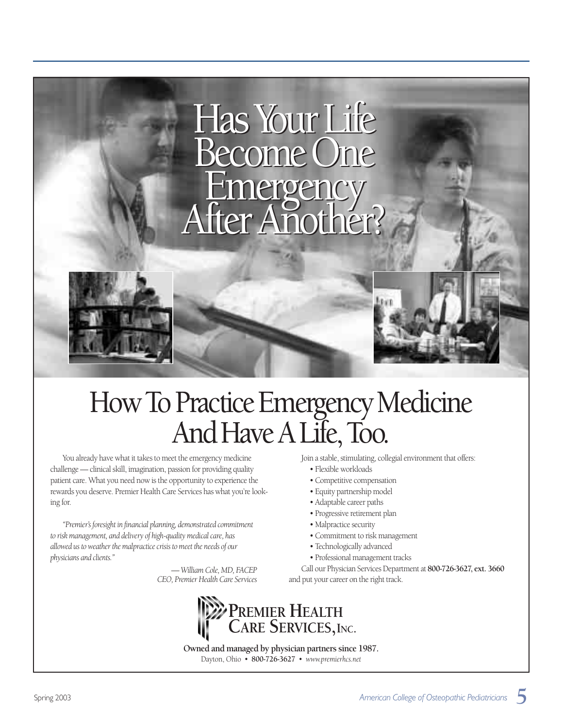

# How To Practice Emergency Medicine And Have A Life, Too.

You already have what it takes to meet the emergency medicine challenge — clinical skill, imagination, passion for providing quality patient care. What you need now is the opportunity to experience the rewards you deserve. Premier Health Care Services has what you're looking for.

*"Premier's foresight in financial planning, demonstrated commitment to risk management, and delivery of high-quality medical care, has allowed us to weather the malpractice crisis to meet the needs of our physicians and clients."*

> *— William Cole, MD, FACEP CEO, Premier Health Care Services*

Join a stable, stimulating, collegial environment that offers:

- Flexible workloads
- Competitive compensation
- Equity partnership model
- Adaptable career paths
- Progressive retirement plan
- Malpractice security
- Commitment to risk management
- Technologically advanced
- Professional management tracks

Call our Physician Services Department at **800-726-3627, ext. 3660** and put your career on the right track.



**Owned and managed by physician partners since 1987.** Dayton, Ohio • **800-726-3627** • *www.premierhcs.net*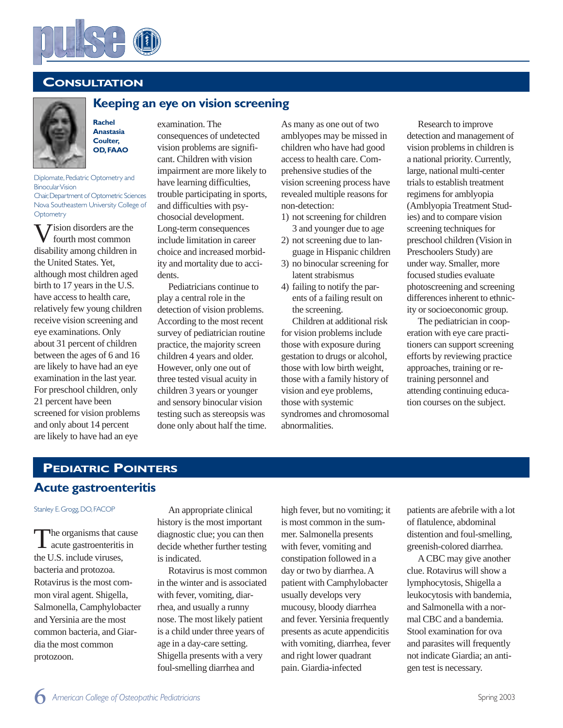

## **CONSULTATION**



## examination. The **Keeping an eye on vision screening**

**Rachel Anastasia Coulter, OD,FAAO**

Diplomate, Pediatric Optometry and Binocular Vision Chair,Department of Optometric Sciences Nova Southeastern University College of **Optometry** 

 $\sum$  ision disorders are the fourth most common disability among children in the United States. Yet, although most children aged birth to 17 years in the U.S. have access to health care, relatively few young children receive vision screening and eye examinations. Only about 31 percent of children between the ages of 6 and 16 are likely to have had an eye examination in the last year. For preschool children, only 21 percent have been screened for vision problems and only about 14 percent are likely to have had an eye

consequences of undetected vision problems are significant. Children with vision impairment are more likely to have learning difficulties, trouble participating in sports, and difficulties with psychosocial development. Long-term consequences include limitation in career

choice and increased morbidity and mortality due to accidents. Pediatricians continue to

play a central role in the detection of vision problems. According to the most recent survey of pediatrician routine practice, the majority screen children 4 years and older. However, only one out of three tested visual acuity in children 3 years or younger and sensory binocular vision testing such as stereopsis was done only about half the time. As many as one out of two amblyopes may be missed in children who have had good access to health care. Comprehensive studies of the vision screening process have revealed multiple reasons for non-detection:

- 1) not screening for children 3 and younger due to age
- 2) not screening due to language in Hispanic children
- 3) no binocular screening for latent strabismus
- 4) failing to notify the parents of a failing result on the screening.

Children at additional risk for vision problems include those with exposure during gestation to drugs or alcohol, those with low birth weight, those with a family history of vision and eye problems, those with systemic syndromes and chromosomal abnormalities.

Research to improve detection and management of vision problems in children is a national priority. Currently, large, national multi-center trials to establish treatment regimens for amblyopia (Amblyopia Treatment Studies) and to compare vision screening techniques for preschool children (Vision in Preschoolers Study) are under way. Smaller, more focused studies evaluate photoscreening and screening differences inherent to ethnicity or socioeconomic group.

The pediatrician in cooperation with eye care practitioners can support screening efforts by reviewing practice approaches, training or retraining personnel and attending continuing education courses on the subject.

# **Acute gastroenteritis PEDIATRIC POINTERS**

#### Stanley E.Grogg,DO,FACOP

The organisms that cause acute gastroenteritis in the U.S. include viruses, bacteria and protozoa. Rotavirus is the most common viral agent. Shigella, Salmonella, Camphylobacter and Yersinia are the most common bacteria, and Giardia the most common protozoon.

An appropriate clinical history is the most important diagnostic clue; you can then decide whether further testing is indicated.

Rotavirus is most common in the winter and is associated with fever, vomiting, diarrhea, and usually a runny nose. The most likely patient is a child under three years of age in a day-care setting. Shigella presents with a very foul-smelling diarrhea and

high fever, but no vomiting; it is most common in the summer. Salmonella presents with fever, vomiting and constipation followed in a day or two by diarrhea. A patient with Camphylobacter usually develops very mucousy, bloody diarrhea and fever. Yersinia frequently presents as acute appendicitis with vomiting, diarrhea, fever and right lower quadrant pain. Giardia-infected

patients are afebrile with a lot of flatulence, abdominal distention and foul-smelling, greenish-colored diarrhea.

ACBC may give another clue. Rotavirus will show a lymphocytosis, Shigella a leukocytosis with bandemia, and Salmonella with a normal CBC and a bandemia. Stool examination for ova and parasites will frequently not indicate Giardia; an antigen test is necessary.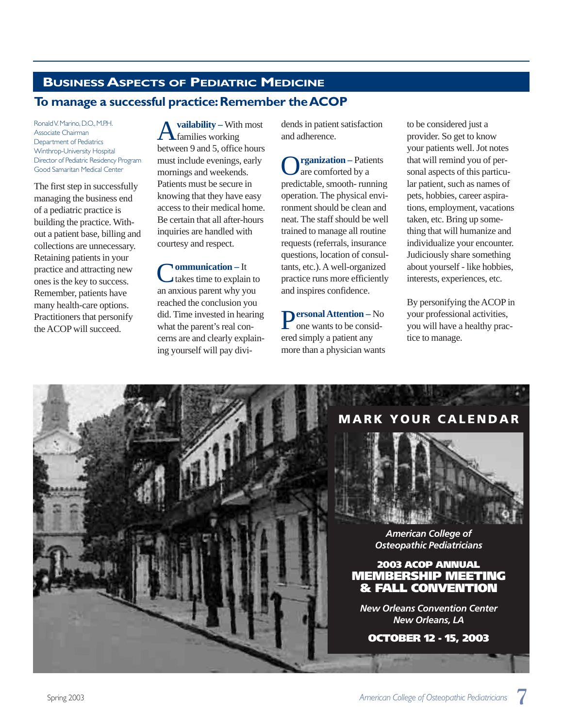# **BUSINESSASPECTS OF PEDIATRIC MEDICINE**

## To manage a successful practice: Remember the **ACOP**

Ronald V. Marino, D.O., M.P.H. Associate Chairman Department of Pediatrics Winthrop-University Hospital Director of Pediatric Residency Program Good Samaritan Medical Center

The first step in successfully managing the business end of a pediatric practice is building the practice. Without a patient base, billing and collections are unnecessary. Retaining patients in your practice and attracting new ones is the key to success. Remember, patients have many health-care options. Practitioners that personify the ACOP will succeed.

vailability – With most families working between 9 and 5, office hours must include evenings, early mornings and weekends. Patients must be secure in knowing that they have easy access to their medical home. Be certain that all after-hours inquiries are handled with courtesy and respect.

**Nommunication** – It takes time to explain to an anxious parent why you reached the conclusion you did. Time invested in hearing what the parent's real concerns are and clearly explaining yourself will pay dividends in patient satisfaction and adherence.

**O**rganization – Patients predictable, smooth- running operation. The physical environment should be clean and neat. The staff should be well trained to manage all routine requests (referrals, insurance questions, location of consultants, etc.). A well-organized practice runs more efficiently and inspires confidence.

P**ersonal Attention –** No one wants to be considered simply a patient any more than a physician wants to be considered just a provider. So get to know your patients well. Jot notes that will remind you of personal aspects of this particular patient, such as names of pets, hobbies, career aspirations, employment, vacations taken, etc. Bring up something that will humanize and individualize your encounter. Judiciously share something about yourself - like hobbies, interests, experiences, etc.

By personifying the ACOP in your professional activities, you will have a healthy practice to manage.

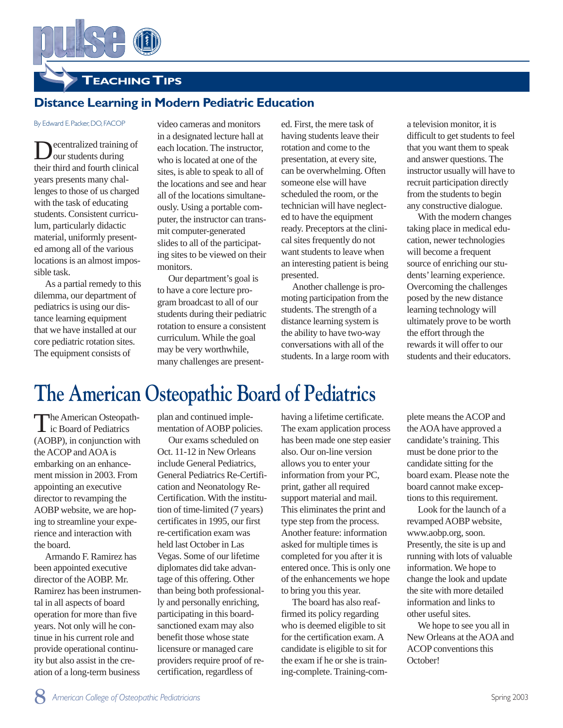**TEACHING TIPS**

## **Distance Learning in Modern Pediatric Education**

#### By Edward E. Packer, DO, FACOP

ecentralized training of our students during their third and fourth clinical years presents many challenges to those of us charged with the task of educating students. Consistent curriculum, particularly didactic material, uniformly presented among all of the various locations is an almost impossible task.

As a partial remedy to this dilemma, our department of pediatrics is using our distance learning equipment that we have installed at our core pediatric rotation sites. The equipment consists of

video cameras and monitors in a designated lecture hall at each location. The instructor, who is located at one of the sites, is able to speak to all of the locations and see and hear all of the locations simultaneously. Using a portable computer, the instructor can transmit computer-generated slides to all of the participating sites to be viewed on their monitors.

Our department's goal is to have a core lecture program broadcast to all of our students during their pediatric rotation to ensure a consistent curriculum. While the goal may be very worthwhile, many challenges are present-

ed. First, the mere task of having students leave their rotation and come to the presentation, at every site, can be overwhelming. Often someone else will have scheduled the room, or the technician will have neglected to have the equipment ready. Preceptors at the clinical sites frequently do not want students to leave when an interesting patient is being presented.

Another challenge is promoting participation from the students. The strength of a distance learning system is the ability to have two-way conversations with all of the students. In a large room with

a television monitor, it is difficult to get students to feel that you want them to speak and answer questions. The instructor usually will have to recruit participation directly from the students to begin any constructive dialogue.

With the modern changes taking place in medical education, newer technologies will become a frequent source of enriching our students'learning experience. Overcoming the challenges posed by the new distance learning technology will ultimately prove to be worth the effort through the rewards it will offer to our students and their educators.

# **The American Osteopathic Board of Pediatrics**

The American Osteopath-<br>ic Board of Pediatrics (AOBP), in conjunction with the ACOP and AOA is embarking on an enhancement mission in 2003. From appointing an executive director to revamping the AOBP website, we are hoping to streamline your experience and interaction with the board.

Armando F. Ramirez has been appointed executive director of the AOBP. Mr. Ramirez has been instrumental in all aspects of board operation for more than five years. Not only will he continue in his current role and provide operational continuity but also assist in the creation of a long-term business

plan and continued implementation of AOBP policies.

Our exams scheduled on Oct. 11-12 in New Orleans include General Pediatrics, General Pediatrics Re-Certification and Neonatology Re-Certification. With the institution of time-limited (7 years) certificates in 1995, our first re-certification exam was held last October in Las Vegas. Some of our lifetime diplomates did take advantage of this offering. Other than being both professionally and personally enriching, participating in this boardsanctioned exam may also benefit those whose state licensure or managed care providers require proof of recertification, regardless of

having a lifetime certificate. The exam application process has been made one step easier also. Our on-line version allows you to enter your information from your PC, print, gather all required support material and mail. This eliminates the print and type step from the process. Another feature: information asked for multiple times is completed for you after it is entered once. This is only one of the enhancements we hope to bring you this year.

The board has also reaffirmed its policy regarding who is deemed eligible to sit for the certification exam. A candidate is eligible to sit for the exam if he or she is training-complete. Training-complete means the ACOP and the AOA have approved a candidate's training. This must be done prior to the candidate sitting for the board exam. Please note the board cannot make exceptions to this requirement.

Look for the launch of a revamped AOBP website, www.aobp.org, soon. Presently, the site is up and running with lots of valuable information. We hope to change the look and update the site with more detailed information and links to other useful sites.

We hope to see you all in New Orleans at the AOA and ACOP conventions this October!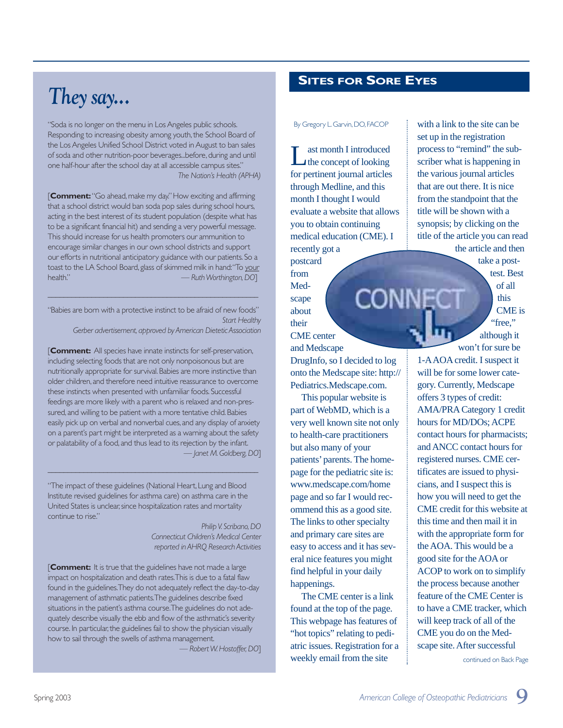# *They say...*

"Soda is no longer on the menu in Los Angeles public schools. Responding to increasing obesity among youth, the School Board of the Los Angeles Unified School District voted in August to ban sales of soda and other nutrition-poor beverages...before, during and until one half-hour after the school day at all accessible campus sites." *The Nation's Health (APHA)*

**[Comment:** "Go ahead, make my day." How exciting and affirming that a school district would ban soda pop sales during school hours, acting in the best interest of its student population (despite what has to be a significant financial hit) and sending a very powerful message. This should increase for us health promoters our ammunition to encourage similar changes in our own school districts and support our efforts in nutritional anticipatory guidance with our patients. So a toast to the LA School Board, glass of skimmed milk in hand: "To your health." *— Ruth Worthington,DO*]

"Babies are born with a protective instinct to be afraid of new foods" *Start Healthy*

\_\_\_\_\_\_\_\_\_\_\_\_\_\_\_\_\_\_\_\_\_\_\_\_\_\_\_\_\_\_\_\_\_\_\_\_\_\_\_\_\_\_\_\_\_\_\_\_\_\_\_\_\_

*Gerber advertisement,approved by American Dietetic Association*

[**Comment:** All species have innate instincts for self-preservation, including selecting foods that are not only nonpoisonous but are nutritionally appropriate for survival.Babies are more instinctive than older children, and therefore need intuitive reassurance to overcome these instincts when presented with unfamiliar foods. Successful feedings are more likely with a parent who is relaxed and non-pressured, and willing to be patient with a more tentative child. Babies easily pick up on verbal and nonverbal cues, and any display of anxiety on a parent's part might be interpreted as a warning about the safety or palatability of a food,and thus lead to its rejection by the infant. *— Janet M.Goldberg,DO*]

"The impact of these guidelines (National Heart, Lung and Blood Institute revised guidelines for asthma care) on asthma care in the United States is unclear, since hospitalization rates and mortality continue to rise."

 $\_$  , and the set of the set of the set of the set of the set of the set of the set of the set of the set of the set of the set of the set of the set of the set of the set of the set of the set of the set of the set of th

*Philip V.Scribano,DO Connecticut Children's Medical Center reported in AHRQ Research Activities*

**[Comment:** It is true that the guidelines have not made a large impact on hospitalization and death rates.This is due to a fatal flaw found in the guidelines.They do not adequately reflect the day-to-day management of asthmatic patients.The guidelines describe fixed situations in the patient's asthma course.The guidelines do not adequately describe visually the ebb and flow of the asthmatic's severity course. In particular, the guidelines fail to show the physician visually how to sail through the swells of asthma management.

— *Robert W.Hostoffer,DO*]

## **SITES FOR SORE EYES**

By Gregory L. Garvin, DO, FACOP

Last month I introduced for pertinent journal articles through Medline, and this month I thought I would evaluate a website that allows you to obtain continuing medical education (CME). I recently got a

postcard from Medscape about their CME center and Medscape

DrugInfo, so I decided to log onto the Medscape site: http:// Pediatrics.Medscape.com.

Conne(

This popular website is part of WebMD, which is a very well known site not only to health-care practitioners but also many of your patients' parents. The homepage for the pediatric site is: www.medscape.com/home page and so far I would recommend this as a good site. The links to other specialty and primary care sites are easy to access and it has several nice features you might find helpful in your daily happenings.

The CME center is a link found at the top of the page. This webpage has features of "hot topics" relating to pediatric issues. Registration for a weekly email from the site in the site continued on Back Page

with a link to the site can be set up in the registration process to "remind" the subscriber what is happening in the various journal articles that are out there. It is nice from the standpoint that the title will be shown with a synopsis; by clicking on the title of the article you can read the article and then

> take a posttest. Best of all this CME is "free." although it

won't for sure be 1-AAOA credit. I suspect it will be for some lower category. Currently, Medscape offers 3 types of credit: AMA/PRA Category 1 credit hours for MD/DOs; ACPE contact hours for pharmacists; and ANCC contact hours for registered nurses. CME certificates are issued to physicians, and I suspect this is how you will need to get the CME credit for this website at this time and then mail it in with the appropriate form for the AOA. This would be a good site for the AOA or ACOP to work on to simplify the process because another feature of the CME Center is to have a CME tracker, which will keep track of all of the CME you do on the Medscape site. After successful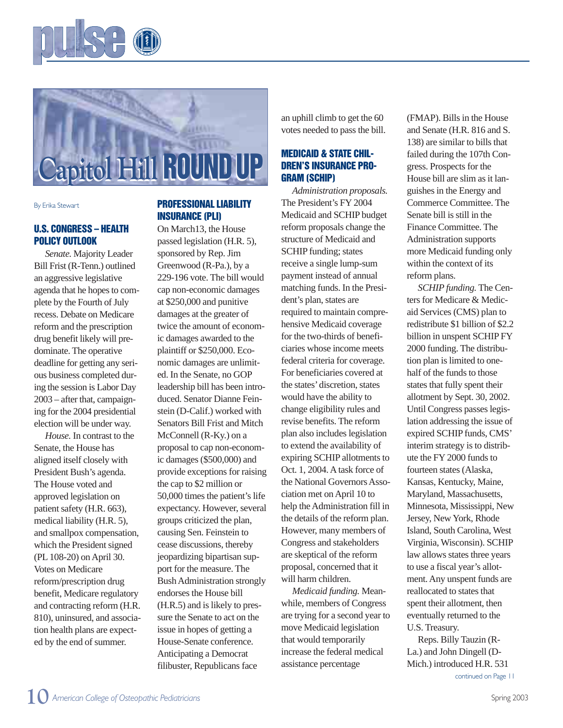



By Erika Stewart

### **U.S. CONGRESS – HEALTH POLICY OUTLOOK**

*Senate.* Majority Leader Bill Frist (R-Tenn.) outlined an aggressive legislative agenda that he hopes to complete by the Fourth of July recess. Debate on Medicare reform and the prescription drug benefit likely will predominate. The operative deadline for getting any serious business completed during the session is Labor Day 2003 – after that, campaigning for the 2004 presidential election will be under way.

*House.* In contrast to the Senate, the House has aligned itself closely with President Bush's agenda. The House voted and approved legislation on patient safety (H.R. 663), medical liability (H.R. 5), and smallpox compensation, which the President signed (PL 108-20) on April 30. Votes on Medicare reform/prescription drug benefit, Medicare regulatory and contracting reform (H.R. 810), uninsured, and association health plans are expected by the end of summer.

## **PROFESSIONAL LIABILITY INSURANCE (PLI)**

On March13, the House passed legislation (H.R. 5), sponsored by Rep. Jim Greenwood (R-Pa.), by a 229-196 vote. The bill would cap non-economic damages at \$250,000 and punitive damages at the greater of twice the amount of economic damages awarded to the plaintiff or \$250,000. Economic damages are unlimited. In the Senate, no GOP leadership bill has been introduced. Senator Dianne Feinstein (D-Calif.) worked with Senators Bill Frist and Mitch McConnell (R-Ky.) on a proposal to cap non-economic damages (\$500,000) and provide exceptions for raising the cap to \$2 million or 50,000 times the patient's life expectancy. However, several groups criticized the plan, causing Sen. Feinstein to cease discussions, thereby jeopardizing bipartisan support for the measure. The Bush Administration strongly endorses the House bill (H.R.5) and is likely to pressure the Senate to act on the issue in hopes of getting a House-Senate conference. Anticipating a Democrat filibuster, Republicans face

an uphill climb to get the 60 votes needed to pass the bill.

## **MEDICAID & STATE CHIL-DREN'S INSURANCE PRO-GRAM (SCHIP)**

*Administration proposals.* The President's FY 2004 Medicaid and SCHIP budget reform proposals change the structure of Medicaid and SCHIP funding; states receive a single lump-sum payment instead of annual matching funds. In the President's plan, states are required to maintain comprehensive Medicaid coverage for the two-thirds of beneficiaries whose income meets federal criteria for coverage. For beneficiaries covered at the states'discretion, states would have the ability to change eligibility rules and revise benefits. The reform plan also includes legislation to extend the availability of expiring SCHIP allotments to Oct. 1, 2004. A task force of the National Governors Association met on April 10 to help the Administration fill in the details of the reform plan. However, many members of Congress and stakeholders are skeptical of the reform proposal, concerned that it will harm children.

*Medicaid funding.* Meanwhile, members of Congress are trying for a second year to move Medicaid legislation that would temporarily increase the federal medical assistance percentage

(FMAP). Bills in the House and Senate (H.R. 816 and S. 138) are similar to bills that failed during the 107th Congress. Prospects for the House bill are slim as it languishes in the Energy and Commerce Committee. The Senate bill is still in the Finance Committee. The Administration supports more Medicaid funding only within the context of its reform plans.

*SCHIP funding.* The Centers for Medicare & Medicaid Services (CMS) plan to redistribute \$1 billion of \$2.2 billion in unspent SCHIP FY 2000 funding. The distribution plan is limited to onehalf of the funds to those states that fully spent their allotment by Sept. 30, 2002. Until Congress passes legislation addressing the issue of expired SCHIP funds, CMS' interim strategy is to distribute the FY 2000 funds to fourteen states (Alaska, Kansas, Kentucky, Maine, Maryland, Massachusetts, Minnesota, Mississippi, New Jersey, New York, Rhode Island, South Carolina, West Virginia, Wisconsin). SCHIP law allows states three years to use a fiscal year's allotment. Any unspent funds are reallocated to states that spent their allotment, then eventually returned to the U.S. Treasury.

Reps. Billy Tauzin (R-La.) and John Dingell (D-Mich.) introduced H.R. 531 continued on Page 11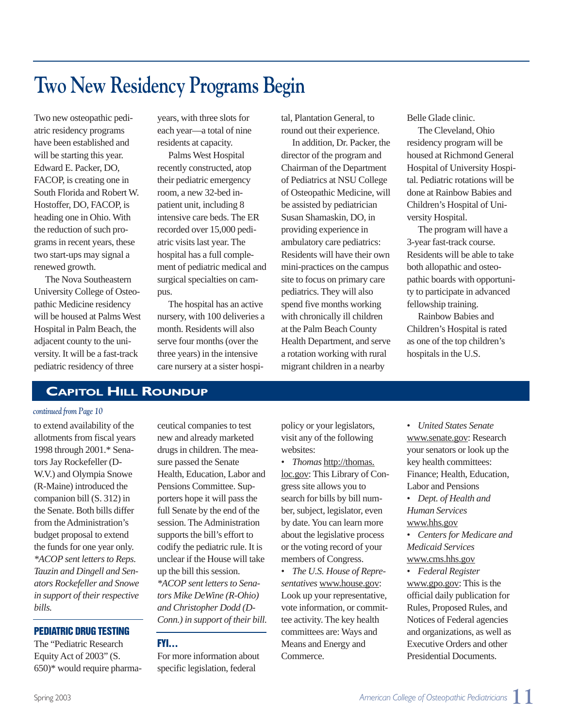# **Two New Residency Programs Begin**

Two new osteopathic pediatric residency programs have been established and will be starting this year. Edward E. Packer, DO, FACOP, is creating one in South Florida and Robert W. Hostoffer, DO, FACOP, is heading one in Ohio. With the reduction of such programs in recent years, these two start-ups may signal a renewed growth.

The Nova Southeastern University College of Osteopathic Medicine residency will be housed at Palms West Hospital in Palm Beach, the adjacent county to the university. It will be a fast-track pediatric residency of three

years, with three slots for each year—a total of nine residents at capacity.

Palms West Hospital recently constructed, atop their pediatric emergency room, a new 32-bed inpatient unit, including 8 intensive care beds. The ER recorded over 15,000 pediatric visits last year. The hospital has a full complement of pediatric medical and surgical specialties on campus.

The hospital has an active nursery, with 100 deliveries a month. Residents will also serve four months (over the three years) in the intensive care nursery at a sister hospital, Plantation General, to round out their experience.

In addition, Dr. Packer, the director of the program and Chairman of the Department of Pediatrics at NSU College of Osteopathic Medicine, will be assisted by pediatrician Susan Shamaskin, DO, in providing experience in ambulatory care pediatrics: Residents will have their own mini-practices on the campus site to focus on primary care pediatrics. They will also spend five months working with chronically ill children at the Palm Beach County Health Department, and serve a rotation working with rural migrant children in a nearby

Belle Glade clinic.

The Cleveland, Ohio residency program will be housed at Richmond General Hospital of University Hospital. Pediatric rotations will be done at Rainbow Babies and Children's Hospital of University Hospital.

The program will have a 3-year fast-track course. Residents will be able to take both allopathic and osteopathic boards with opportunity to participate in advanced fellowship training.

Rainbow Babies and Children's Hospital is rated as one of the top children's hospitals in the U.S.

## **CAPITOL HILL ROUNDUP**

#### *continued from Page 10*

to extend availability of the allotments from fiscal years 1998 through 2001.\* Senators Jay Rockefeller (D-W.V.) and Olympia Snowe (R-Maine) introduced the companion bill (S. 312) in the Senate. Both bills differ from the Administration's budget proposal to extend the funds for one year only. *\*ACOP sent letters to Reps. Tauzin and Dingell and Senators Rockefeller and Snowe in support of their respective bills.*

#### **PEDIATRIC DRUG TESTING**

The "Pediatric Research Equity Act of 2003" (S. 650)\* would require pharmaceutical companies to test new and already marketed drugs in children. The measure passed the Senate Health, Education, Labor and Pensions Committee. Supporters hope it will pass the full Senate by the end of the session. The Administration supports the bill's effort to codify the pediatric rule. It is unclear if the House will take up the bill this session. *\*ACOP sent letters to Senators Mike DeWine (R-Ohio) and Christopher Dodd (D-Conn.) in support of their bill.*

### **FYI…**

For more information about specific legislation, federal

policy or your legislators, visit any of the following websites:

- *Thomas* http://thomas. loc.gov: This Library of Congress site allows you to search for bills by bill number, subject, legislator, even by date. You can learn more about the legislative process or the voting record of your members of Congress.
- *The U.S. House of Representatives* www.house.gov: Look up your representative, vote information, or committee activity. The key health committees are: Ways and Means and Energy and Commerce.

• *United States Senate* www.senate.gov: Research your senators or look up the key health committees: Finance; Health, Education, Labor and Pensions

• *Dept. of Health and Human Services* www.hhs.gov

• *Centers for Medicare and Medicaid Services* www.cms.hhs.gov

• *Federal Register* www.gpo.gov: This is the official daily publication for Rules, Proposed Rules, and Notices of Federal agencies and organizations, as well as Executive Orders and other Presidential Documents.